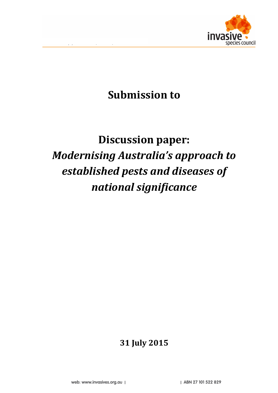

## **Submission to**

# **Discussion paper: Modernising Australia's approach to** established pests and diseases of *national significance*

### **31 July 2015**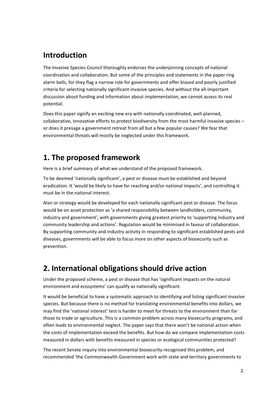### **Introduction**

The Invasive Species Council thoroughly endorses the underpinning concepts of national coordination and collaboration. But some of the principles and statements in the paper ring alarm bells, for they flag a narrow role for governments and offer biased and poorly justified criteria for selecting nationally significant invasive species. And without the all-important discussion about funding and information about implementation, we cannot assess its real potential. 

Does this paper signify an exciting new era with nationally coordinated, well-planned, collaborative, innovative efforts to protect biodiversity from the most harmful invasive species or does it presage a government retreat from all but a few popular causes? We fear that environmental threats will mostly be neglected under this framework.

### **1.** The proposed framework

Here is a brief summary of what we understand of the proposed framework.

To be deemed 'nationally significant', a pest or disease must be established and beyond eradication. It 'would be likely to have far reaching and/or national impacts', and controlling it must be in the national interest.

Alan or strategy would be developed for each nationally significant pest or disease. The focus would be on asset protection as 'a shared responsibility between landholders, community, industry and government', with governments giving greatest priority to 'supporting industry and community leadership and actions'. Regulation would be minimised in favour of collaboration. By supporting community and industry activity in responding to significant established pests and diseases, governments will be able to focus more on other aspects of biosecurity such as prevention. 

### **2. International obligations should drive action**

Under the proposed scheme, a pest or disease that has 'significant impacts on the natural environment and ecosystems' can qualify as nationally significant.

It would be beneficial to have a systematic approach to identifying and listing significant invasive species. But because there is no method for translating environmental benefits into dollars, we may find the 'national interest' test is harder to meet for threats to the environment than for those to trade or agriculture. This is a common problem across many biosecurity programs, and often leads to environmental neglect. The paper says that there won't be national action when the costs of implementation exceed the benefits. But how do we compare implementation costs measured in dollars with benefits measured in species or ecological communities protected?

The recent Senate inquiry into environmental biosecurity recognised this problem, and recommended 'the Commonwealth Government work with state and territory governments to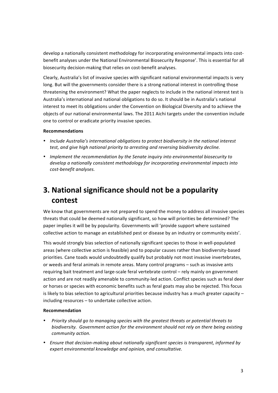develop a nationally consistent methodology for incorporating environmental impacts into costbenefit analyses under the National Environmental Biosecurity Response'. This is essential for all biosecurity decision-making that relies on cost-benefit analyses.

Clearly, Australia's list of invasive species with significant national environmental impacts is very long. But will the governments consider there is a strong national interest in controlling those threatening the environment? What the paper neglects to include in the national interest test is Australia's international and national obligations to do so. It should be in Australia's national interest to meet its obligations under the Convention on Biological Diversity and to achieve the objects of our national environmental laws. The 2011 Aichi targets under the convention include one to control or eradicate priority invasive species.

#### **Recommendations**

- Include Australia's international obligations to protect biodiversity in the national interest *test, and give high national priority to arresting and reversing biodiversity decline.*
- *Implement the recommendation by the Senate inquiry into environmental biosecurity to* develop a nationally consistent methodology for incorporating environmental impacts into *cost-benefit analyses.*

### **3.** National significance should not be a popularity **contest**

We know that governments are not prepared to spend the money to address all invasive species threats that could be deemed nationally significant, so how will priorities be determined? The paper implies it will be by popularity. Governments will 'provide support where sustained collective action to manage an established pest or disease by an industry or community exists'.

This would strongly bias selection of nationally significant species to those in well-populated areas (where collective action is feasible) and to popular causes rather than biodiversity-based priorities. Cane toads would undoubtedly qualify but probably not most invasive invertebrates, or weeds and feral animals in remote areas. Many control programs - such as invasive ants requiring bait treatment and large-scale feral vertebrate control – rely mainly on government action and are not readily amenable to community-led action. Conflict species such as feral deer or horses or species with economic benefits such as feral goats may also be rejected. This focus is likely to bias selection to agricultural priorities because industry has a much greater capacity  $$  $including$  resources  $-$  to undertake collective action.

#### **Recommendation**

- *Priority should go to managing species with the greatest threats or potential threats to biodiversity.* Government action for the environment should not rely on there being existing *community action.*
- Ensure that decision-making about nationally significant species is transparent, informed by expert environmental knowledge and opinion, and consultative.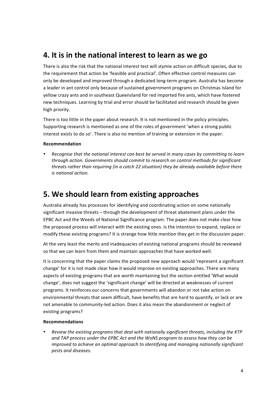### **4.** It is in the national interest to learn as we go

There is also the risk that the national interest test will stymie action on difficult species, due to the requirement that action be 'feasible and practical'. Often effective control measures can only be developed and improved through a dedicated long-term program. Australia has become a leader in ant control only because of sustained government programs on Christmas Island for vellow crazy ants and in southeast Queensland for red imported fire ants, which have fostered new techniques. Learning by trial and error should be facilitated and research should be given high priority.

There is too little in the paper about research. It is not mentioned in the policy principles. Supporting research is mentioned as one of the roles of government 'when a strong public interest exists to do so'. There is also no mention of training or extension in the paper.

#### **Recommendation**

Recognise that the national interest can best be served in many cases by committing to learn through action. Governments should commit to research on control methods for significant *threats rather than requiring (in a catch 22 situation)* they be already available before there *is national action.*

### **5. We should learn from existing approaches**

Australia already has processes for identifying and coordinating action on some nationally significant invasive threats – through the development of threat abatement plans under the EPBC Act and the Weeds of National Significance program. The paper does not make clear how the proposed process will interact with the existing ones. Is the intention to expand, replace or modify these existing programs? It is strange how little mention they get in the discussion paper.

At the very least the merits and inadequacies of existing national programs should be reviewed so that we can learn from them and maintain approaches that have worked well.

It is concerning that the paper claims the proposed new approach would 'represent a significant change' for it is not made clear how it would improve on existing approaches. There are many aspects of existing programs that are worth maintaining but the section entitled 'What would change', does not suggest the 'significant change' will be directed at weaknesses of current programs. It reinforces our concerns that governments will abandon or not take action on environmental threats that seem difficult, have benefits that are hard to quantify, or lack or are not amenable to community-led action. Does it also mean the abandonment or neglect of existing programs?

#### **Recommendations**

Review the existing programs that deal with nationally significant threats, including the KTP and TAP process under the EPBC Act and the WoNS program to assess how they can be *improved* to achieve an optimal approach to identifying and managing nationally significant *pests and diseases.*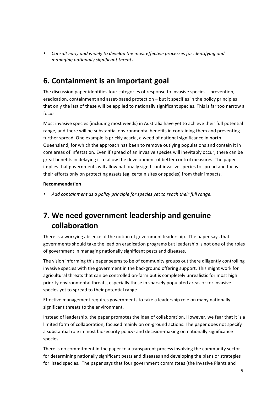Consult early and widely to develop the most effective processes for identifying and *managing nationally significant threats.* 

### **6.** Containment is an important goal

The discussion paper identifies four categories of response to invasive species  $-$  prevention, eradication, containment and asset-based protection - but it specifies in the policy principles that only the last of these will be applied to nationally significant species. This is far too narrow a focus. 

Most invasive species (including most weeds) in Australia have yet to achieve their full potential range, and there will be substantial environmental benefits in containing them and preventing further spread. One example is prickly acacia, a weed of national significance in north Queensland, for which the approach has been to remove outlying populations and contain it in core areas of infestation. Even if spread of an invasive species will inevitably occur, there can be great benefits in delaying it to allow the development of better control measures. The paper implies that governments will allow nationally significant invasive species to spread and focus their efforts only on protecting assets (eg. certain sites or species) from their impacts.

#### **Recommendation**

Add containment as a policy principle for species yet to reach their full range.

### **7.** We need government leadership and genuine **collaboration**

There is a worrying absence of the notion of government leadership. The paper says that governments should take the lead on eradication programs but leadership is not one of the roles of government in managing nationally significant pests and diseases.

The vision informing this paper seems to be of community groups out there diligently controlling invasive species with the government in the background offering support. This might work for agricultural threats that can be controlled on-farm but is completely unrealistic for most high priority environmental threats, especially those in sparsely populated areas or for invasive species yet to spread to their potential range.

Effective management requires governments to take a leadership role on many nationally significant threats to the environment.

Instead of leadership, the paper promotes the idea of collaboration. However, we fear that it is a limited form of collaboration, focused mainly on on-ground actions. The paper does not specify a substantial role in most biosecurity policy- and decision-making on nationally significance species. 

There is no commitment in the paper to a transparent process involving the community sector for determining nationally significant pests and diseases and developing the plans or strategies for listed species. The paper says that four government committees (the Invasive Plants and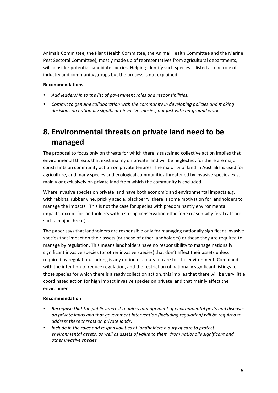Animals Committee, the Plant Health Committee, the Animal Health Committee and the Marine Pest Sectoral Committee), mostly made up of representatives from agricultural departments, will consider potential candidate species. Helping identify such species is listed as one role of industry and community groups but the process is not explained.

#### **Recommendations**

- Add leadership to the list of aovernment roles and responsibilities.
- Commit to genuine collaboration with the community in developing policies and making decisions on nationally significant invasive species, not just with on-ground work.

### **8. Environmental threats on private land need to be managed**

The proposal to focus only on threats for which there is sustained collective action implies that environmental threats that exist mainly on private land will be neglected, for there are major constraints on community action on private tenures. The majority of land in Australia is used for agriculture, and many species and ecological communities threatened by invasive species exist mainly or exclusively on private land from which the community is excluded.

Where invasive species on private land have both economic and environmental impacts e.g. with rabbits, rubber vine, prickly acacia, blackberry, there is some motivation for landholders to manage the impacts. This is not the case for species with predominantly environmental impacts, except for landholders with a strong conservation ethic (one reason why feral cats are such a major threat). .

The paper says that landholders are responsible only for managing nationally significant invasive species that impact on their assets (or those of other landholders) or those they are required to manage by regulation. This means landholders have no responsibility to manage nationally significant invasive species (or other invasive species) that don't affect their assets unless required by regulation. Lacking is any notion of a duty of care for the environment. Combined with the intention to reduce regulation, and the restriction of nationally significant listings to those species for which there is already collection action, this implies that there will be very little coordinated action for high impact invasive species on private land that mainly affect the environment.

#### **Recommendation**

- *Recognise that the public interest requires management of environmental pests and diseases on private lands and that government intervention (including regulation) will be required to address these threats on private lands.*
- Include in the roles and responsibilities of landholders a duty of care to protect environmental assets, as well as assets of value to them, from nationally significant and *other invasive species.*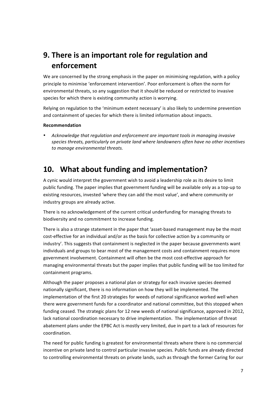### **9. There is an important role for regulation and enforcement**

We are concerned by the strong emphasis in the paper on minimising regulation, with a policy principle to minimise 'enforcement intervention'. Poor enforcement is often the norm for environmental threats, so any suggestion that it should be reduced or restricted to invasive species for which there is existing community action is worrying.

Relying on regulation to the 'minimum extent necessary' is also likely to undermine prevention and containment of species for which there is limited information about impacts.

#### **Recommendation**

Acknowledge that regulation and enforcement are important tools in managing invasive species threats, particularly on private land where landowners often have no other incentives to manage environmental threats.

### **10.** What about funding and implementation?

A cynic would interpret the government wish to avoid a leadership role as its desire to limit public funding. The paper implies that government funding will be available only as a top-up to existing resources, invested 'where they can add the most value', and where community or industry groups are already active.

There is no acknowledgement of the current critical underfunding for managing threats to biodiversity and no commitment to increase funding.

There is also a strange statement in the paper that 'asset-based management may be the most cost-effective for an individual and/or as the basis for collective action by a community or industry'. This suggests that containment is neglected in the paper because governments want individuals and groups to bear most of the management costs and containment requires more government involvement. Containment will often be the most cost-effective approach for managing environmental threats but the paper implies that public funding will be too limited for containment programs.

Although the paper proposes a national plan or strategy for each invasive species deemed nationally significant, there is no information on how they will be implemented. The implementation of the first 20 strategies for weeds of national significance worked well when there were government funds for a coordinator and national committee, but this stopped when funding ceased. The strategic plans for 12 new weeds of national significance, approved in 2012, lack national coordination necessary to drive implementation. The implementation of threat abatement plans under the EPBC Act is mostly very limited, due in part to a lack of resources for coordination.

The need for public funding is greatest for environmental threats where there is no commercial incentive on private land to control particular invasive species. Public funds are already directed to controlling environmental threats on private lands, such as through the former Caring for our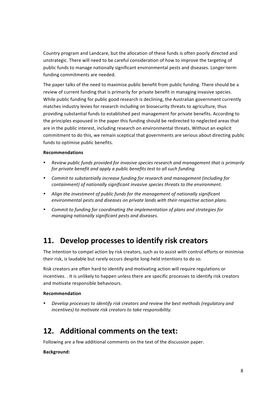Country program and Landcare, but the allocation of these funds is often poorly directed and unstrategic. There will need to be careful consideration of how to improve the targeting of public funds to manage nationally significant environmental pests and diseases. Longer-term funding commitments are needed.

The paper talks of the need to maximise public benefit from public funding. There should be a review of current funding that is primarily for private benefit in managing invasive species. While public funding for public good research is declining, the Australian government currently matches industry levies for research including on biosecurity threats to agriculture, thus providing substantial funds to established pest management for private benefits. According to the principles espoused in the paper this funding should be redirected to neglected areas that are in the public interest, including research on environmental threats. Without an explicit commitment to do this, we remain sceptical that governments are serious about directing public funds to optimise public benefits.

#### **Recommendations**

- Review public funds provided for invasive species research and management that is primarily *for private benefit and apply a public benefits test to all such funding.*
- Commit to substantially increase funding for research and management (including for *containment)* of nationally significant invasive species threats to the environment.
- Align the investment of public funds for the management of nationally significant *environmental pests and diseases on private lands with their respective action plans.*
- Commit to funding for coordinating the implementation of plans and strategies for *managing nationally significant pests and diseases.*

### 11. Develop processes to identify risk creators

The intention to compel action by risk creators, such as to assist with control efforts or minimise their risk, is laudable but rarely occurs despite long-held intentions to do so.

Risk creators are often hard to identify and motivating action will require regulations or incentives. . It is unlikely to happen unless there are specific processes to identify risk creators and motivate responsible behaviours.

#### **Recommendation**

*Develop processes to identify risk creators and review the best methods (requlatory and incentives)* to motivate risk creators to take responsibility.

### **12.** Additional comments on the text:

Following are a few additional comments on the text of the discussion paper.

#### **Background:**